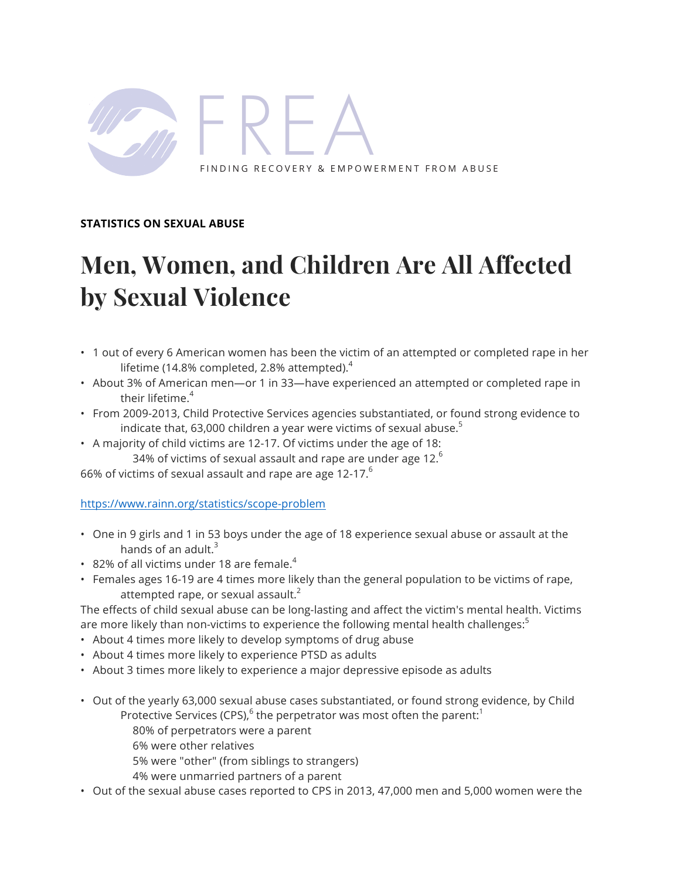

## **STATISTICS ON SEXUAL ABUSE**

# **Men, Women, and Children Are All Affected by Sexual Violence**

- 1 out of every 6 American women has been the victim of an attempted or completed rape in her lifetime (14.8% completed, 2.8% attempted). $4$
- About 3% of American men—or 1 in 33—have experienced an attempted or completed rape in their lifetime.<sup>4</sup>
- From 2009-2013, Child Protective Services agencies substantiated, or found strong evidence to indicate that, 63,000 children a year were victims of sexual abuse. $5$
- A majority of child victims are 12-17. Of victims under the age of 18: 34% of victims of sexual assault and rape are under age  $12<sup>6</sup>$

66% of victims of sexual assault and rape are age 12-17. $^6$ 

https://www.rainn.org/statistics/scope-problem

- One in 9 girls and 1 in 53 boys under the age of 18 experience sexual abuse or assault at the hands of an adult. $3$
- 82% of all victims under 18 are female.<sup>4</sup>
- Females ages 16-19 are 4 times more likely than the general population to be victims of rape, attempted rape, or sexual assault. $2$

The effects of child sexual abuse can be long-lasting and affect the victim's mental health. Victims are more likely than non-victims to experience the following mental health challenges:

- About 4 times more likely to develop symptoms of drug abuse
- About 4 times more likely to experience PTSD as adults
- About 3 times more likely to experience a major depressive episode as adults
- Out of the yearly 63,000 sexual abuse cases substantiated, or found strong evidence, by Child Protective Services (CPS), $<sup>6</sup>$  the perpetrator was most often the parent:<sup>1</sup></sup>
	- 80% of perpetrators were a parent
	- 6% were other relatives
	- 5% were "other" (from siblings to strangers)
	- 4% were unmarried partners of a parent
- Out of the sexual abuse cases reported to CPS in 2013, 47,000 men and 5,000 women were the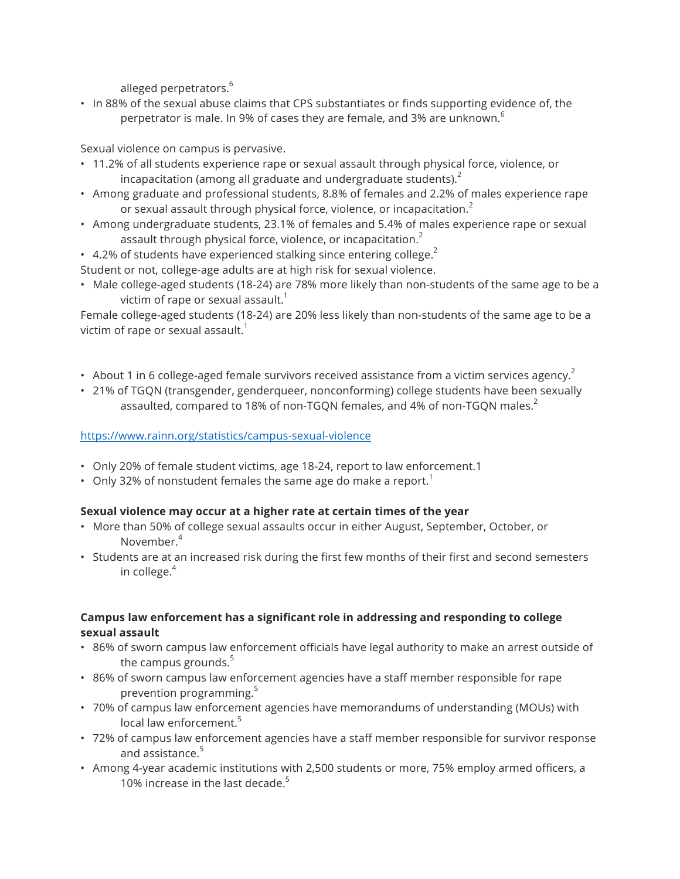alleged perpetrators.<sup>6</sup>

• In 88% of the sexual abuse claims that CPS substantiates or finds supporting evidence of, the perpetrator is male. In 9% of cases they are female, and 3% are unknown. $6$ 

# Sexual violence on campus is pervasive.

- 11.2% of all students experience rape or sexual assault through physical force, violence, or incapacitation (among all graduate and undergraduate students). $2$
- Among graduate and professional students, 8.8% of females and 2.2% of males experience rape or sexual assault through physical force, violence, or incapacitation.<sup>2</sup>
- Among undergraduate students, 23.1% of females and 5.4% of males experience rape or sexual assault through physical force, violence, or incapacitation. $2<sup>2</sup>$
- 4.2% of students have experienced stalking since entering college.<sup>2</sup>
- Student or not, college-age adults are at high risk for sexual violence.
- Male college-aged students (18-24) are 78% more likely than non-students of the same age to be a victim of rape or sexual assault. $1$

Female college-aged students (18-24) are 20% less likely than non-students of the same age to be a victim of rape or sexual assault. $1$ 

- About 1 in 6 college-aged female survivors received assistance from a victim services agency.<sup>2</sup>
- 21% of TGQN (transgender, genderqueer, nonconforming) college students have been sexually assaulted, compared to 18% of non-TGON females, and 4% of non-TGON males.<sup>2</sup>

# https://www.rainn.org/statistics/campus-sexual-violence

- Only 20% of female student victims, age 18-24, report to law enforcement.1
- Only 32% of nonstudent females the same age do make a report.<sup>1</sup>

# **Sexual violence may occur at a higher rate at certain times of the year**

- More than 50% of college sexual assaults occur in either August, September, October, or November<sup>4</sup>
- Students are at an increased risk during the first few months of their first and second semesters in college. $4$

# **Campus law enforcement has a significant role in addressing and responding to college sexual assault**

- 86% of sworn campus law enforcement officials have legal authority to make an arrest outside of the campus grounds. $5$
- 86% of sworn campus law enforcement agencies have a staff member responsible for rape prevention programming.<sup>5</sup>
- 70% of campus law enforcement agencies have memorandums of understanding (MOUs) with local law enforcement.<sup>5</sup>
- 72% of campus law enforcement agencies have a staff member responsible for survivor response and assistance. $5$
- Among 4-year academic institutions with 2,500 students or more, 75% employ armed officers, a 10% increase in the last decade. $5$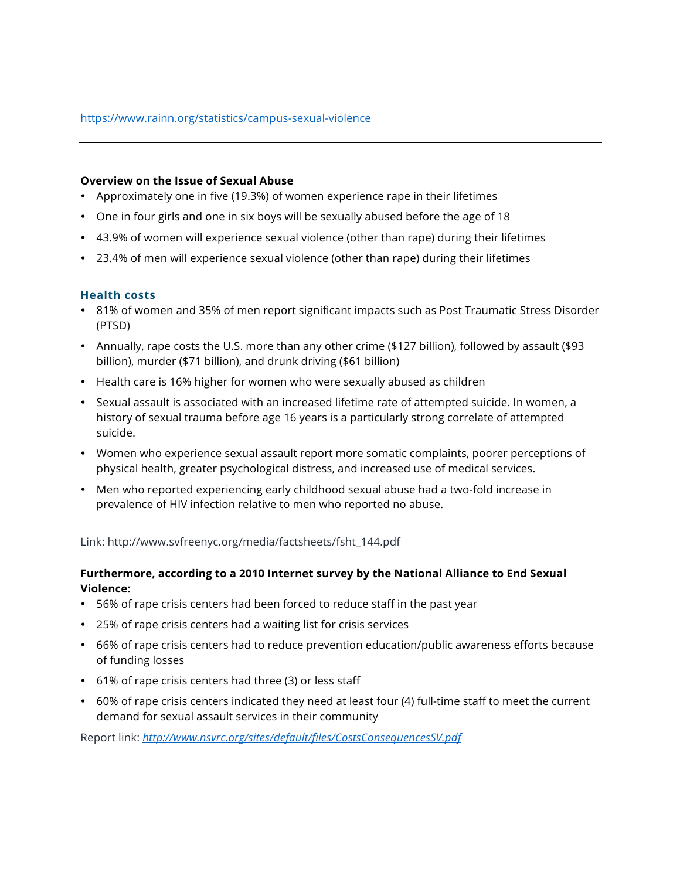#### **Overview on the Issue of Sexual Abuse**

- Approximately one in five (19.3%) of women experience rape in their lifetimes
- One in four girls and one in six boys will be sexually abused before the age of 18
- 43.9% of women will experience sexual violence (other than rape) during their lifetimes
- 23.4% of men will experience sexual violence (other than rape) during their lifetimes

#### **Health costs**

- 81% of women and 35% of men report significant impacts such as Post Traumatic Stress Disorder (PTSD)
- Annually, rape costs the U.S. more than any other crime (\$127 billion), followed by assault (\$93 billion), murder (\$71 billion), and drunk driving (\$61 billion)
- Health care is 16% higher for women who were sexually abused as children
- Sexual assault is associated with an increased lifetime rate of attempted suicide. In women, a history of sexual trauma before age 16 years is a particularly strong correlate of attempted suicide.
- Women who experience sexual assault report more somatic complaints, poorer perceptions of physical health, greater psychological distress, and increased use of medical services.
- Men who reported experiencing early childhood sexual abuse had a two-fold increase in prevalence of HIV infection relative to men who reported no abuse.

Link: http://www.svfreenyc.org/media/factsheets/fsht\_144.pdf

## **Furthermore, according to a 2010 Internet survey by the National Alliance to End Sexual Violence:**

- 56% of rape crisis centers had been forced to reduce staff in the past year
- 25% of rape crisis centers had a waiting list for crisis services
- 66% of rape crisis centers had to reduce prevention education/public awareness efforts because of funding losses
- 61% of rape crisis centers had three (3) or less staff
- 60% of rape crisis centers indicated they need at least four (4) full-time staff to meet the current demand for sexual assault services in their community

Report link: *http://www.nsvrc.org/sites/default/files/CostsConsequencesSV.pdf*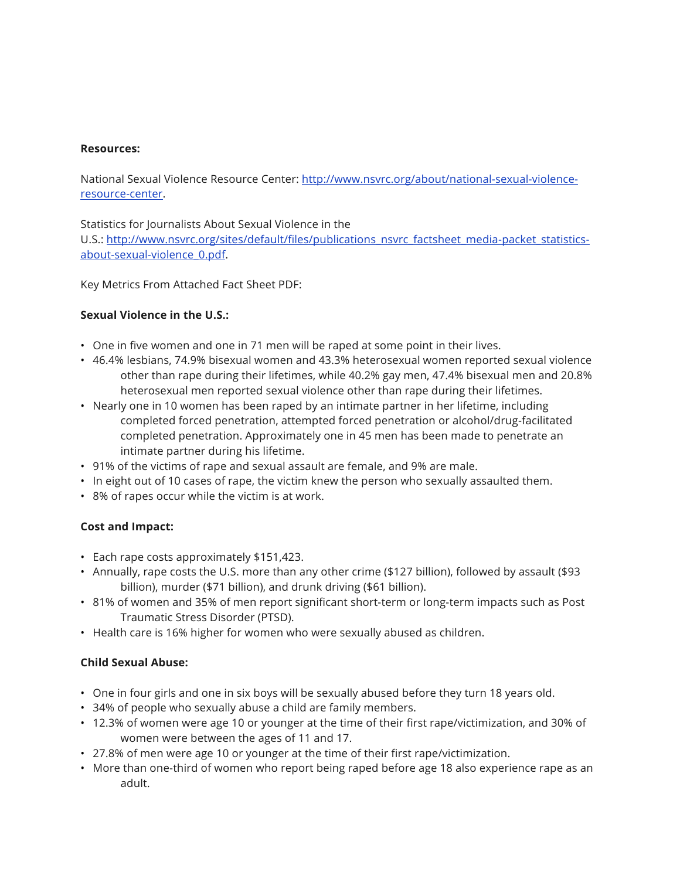#### **Resources:**

National Sexual Violence Resource Center: http://www.nsvrc.org/about/national-sexual-violenceresource-center.

Statistics for Journalists About Sexual Violence in the

U.S.: http://www.nsvrc.org/sites/default/files/publications\_nsvrc\_factsheet\_media-packet\_statisticsabout-sexual-violence\_0.pdf.

Key Metrics From Attached Fact Sheet PDF:

# **Sexual Violence in the U.S.:**

- One in five women and one in 71 men will be raped at some point in their lives.
- 46.4% lesbians, 74.9% bisexual women and 43.3% heterosexual women reported sexual violence other than rape during their lifetimes, while 40.2% gay men, 47.4% bisexual men and 20.8% heterosexual men reported sexual violence other than rape during their lifetimes.
- Nearly one in 10 women has been raped by an intimate partner in her lifetime, including completed forced penetration, attempted forced penetration or alcohol/drug-facilitated completed penetration. Approximately one in 45 men has been made to penetrate an intimate partner during his lifetime.
- 91% of the victims of rape and sexual assault are female, and 9% are male.
- In eight out of 10 cases of rape, the victim knew the person who sexually assaulted them.
- 8% of rapes occur while the victim is at work.

# **Cost and Impact:**

- Each rape costs approximately \$151,423.
- Annually, rape costs the U.S. more than any other crime (\$127 billion), followed by assault (\$93 billion), murder (\$71 billion), and drunk driving (\$61 billion).
- 81% of women and 35% of men report significant short-term or long-term impacts such as Post Traumatic Stress Disorder (PTSD).
- Health care is 16% higher for women who were sexually abused as children.

# **Child Sexual Abuse:**

- One in four girls and one in six boys will be sexually abused before they turn 18 years old.
- 34% of people who sexually abuse a child are family members.
- 12.3% of women were age 10 or younger at the time of their first rape/victimization, and 30% of women were between the ages of 11 and 17.
- 27.8% of men were age 10 or younger at the time of their first rape/victimization.
- More than one-third of women who report being raped before age 18 also experience rape as an adult.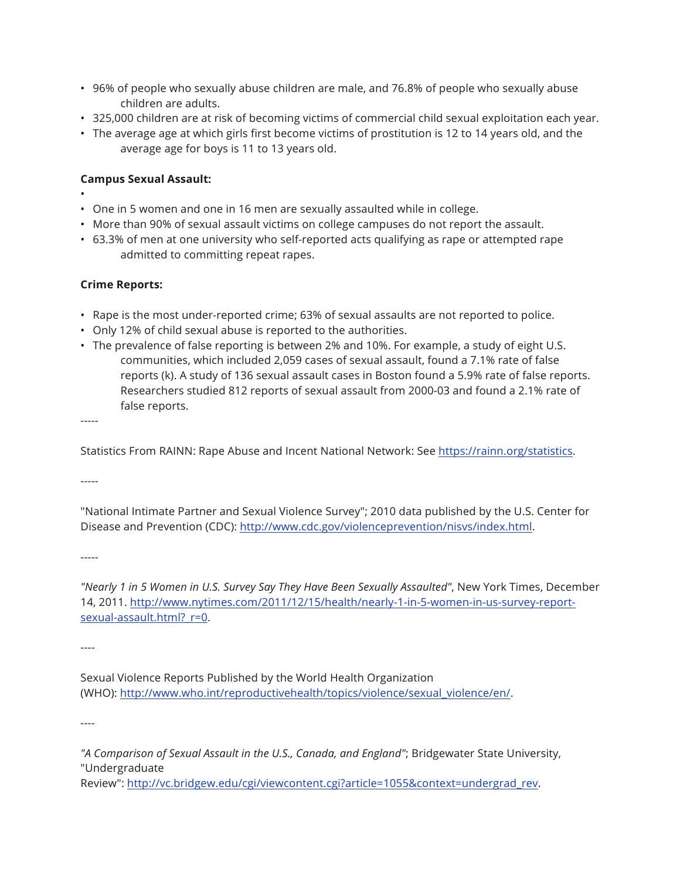- 96% of people who sexually abuse children are male, and 76.8% of people who sexually abuse children are adults.
- 325,000 children are at risk of becoming victims of commercial child sexual exploitation each year.
- The average age at which girls first become victims of prostitution is 12 to 14 years old, and the average age for boys is 11 to 13 years old.

# **Campus Sexual Assault:**

- • One in 5 women and one in 16 men are sexually assaulted while in college.
- More than 90% of sexual assault victims on college campuses do not report the assault.
- 63.3% of men at one university who self-reported acts qualifying as rape or attempted rape admitted to committing repeat rapes.

# **Crime Reports:**

- Rape is the most under-reported crime; 63% of sexual assaults are not reported to police.
- Only 12% of child sexual abuse is reported to the authorities.
- The prevalence of false reporting is between 2% and 10%. For example, a study of eight U.S. communities, which included 2,059 cases of sexual assault, found a 7.1% rate of false reports (k). A study of 136 sexual assault cases in Boston found a 5.9% rate of false reports. Researchers studied 812 reports of sexual assault from 2000-03 and found a 2.1% rate of false reports.

-----

Statistics From RAINN: Rape Abuse and Incent National Network: See https://rainn.org/statistics.

-----

"National Intimate Partner and Sexual Violence Survey"; 2010 data published by the U.S. Center for Disease and Prevention (CDC): http://www.cdc.gov/violenceprevention/nisvs/index.html.

-----

*"Nearly 1 in 5 Women in U.S. Survey Say They Have Been Sexually Assaulted"*, New York Times, December 14, 2011. http://www.nytimes.com/2011/12/15/health/nearly-1-in-5-women-in-us-survey-reportsexual-assault.html?\_r=0.

----

Sexual Violence Reports Published by the World Health Organization (WHO): http://www.who.int/reproductivehealth/topics/violence/sexual\_violence/en/.

----

Review": http://vc.bridgew.edu/cgi/viewcontent.cgi?article=1055&context=undergrad\_rev.

*<sup>&</sup>quot;A Comparison of Sexual Assault in the U.S., Canada, and England"*; Bridgewater State University, "Undergraduate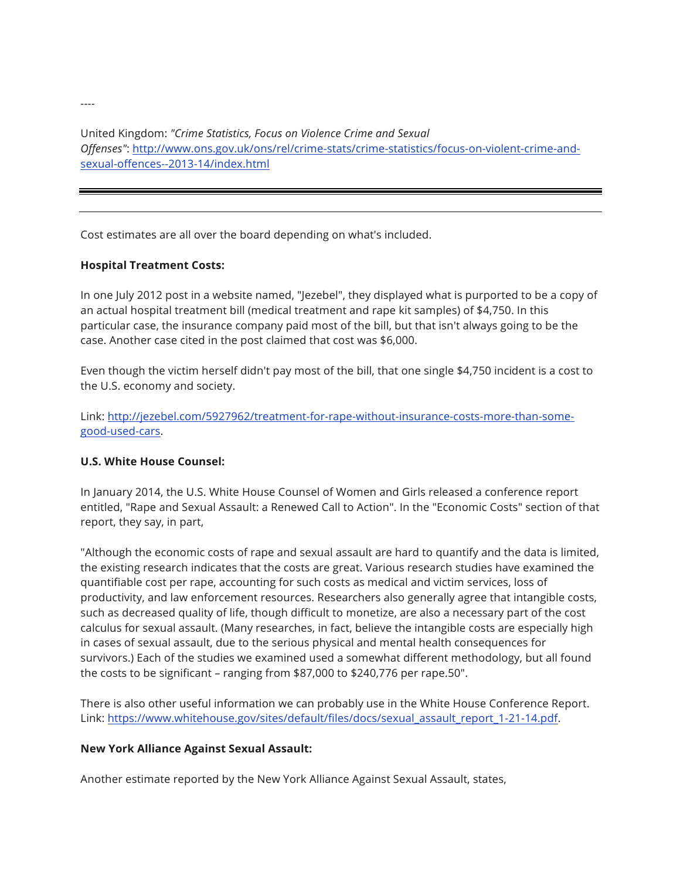United Kingdom: *"Crime Statistics, Focus on Violence Crime and Sexual Offenses"*: http://www.ons.gov.uk/ons/rel/crime-stats/crime-statistics/focus-on-violent-crime-andsexual-offences--2013-14/index.html

Cost estimates are all over the board depending on what's included.

# **Hospital Treatment Costs:**

In one July 2012 post in a website named, "Jezebel", they displayed what is purported to be a copy of an actual hospital treatment bill (medical treatment and rape kit samples) of \$4,750. In this particular case, the insurance company paid most of the bill, but that isn't always going to be the case. Another case cited in the post claimed that cost was \$6,000.

Even though the victim herself didn't pay most of the bill, that one single \$4,750 incident is a cost to the U.S. economy and society.

Link: http://jezebel.com/5927962/treatment-for-rape-without-insurance-costs-more-than-somegood-used-cars.

# **U.S. White House Counsel:**

In January 2014, the U.S. White House Counsel of Women and Girls released a conference report entitled, "Rape and Sexual Assault: a Renewed Call to Action". In the "Economic Costs" section of that report, they say, in part,

"Although the economic costs of rape and sexual assault are hard to quantify and the data is limited, the existing research indicates that the costs are great. Various research studies have examined the quantifiable cost per rape, accounting for such costs as medical and victim services, loss of productivity, and law enforcement resources. Researchers also generally agree that intangible costs, such as decreased quality of life, though difficult to monetize, are also a necessary part of the cost calculus for sexual assault. (Many researches, in fact, believe the intangible costs are especially high in cases of sexual assault, due to the serious physical and mental health consequences for survivors.) Each of the studies we examined used a somewhat different methodology, but all found the costs to be significant – ranging from \$87,000 to \$240,776 per rape.50".

There is also other useful information we can probably use in the White House Conference Report. Link: https://www.whitehouse.gov/sites/default/files/docs/sexual\_assault\_report\_1-21-14.pdf.

#### **New York Alliance Against Sexual Assault:**

Another estimate reported by the New York Alliance Against Sexual Assault, states,

----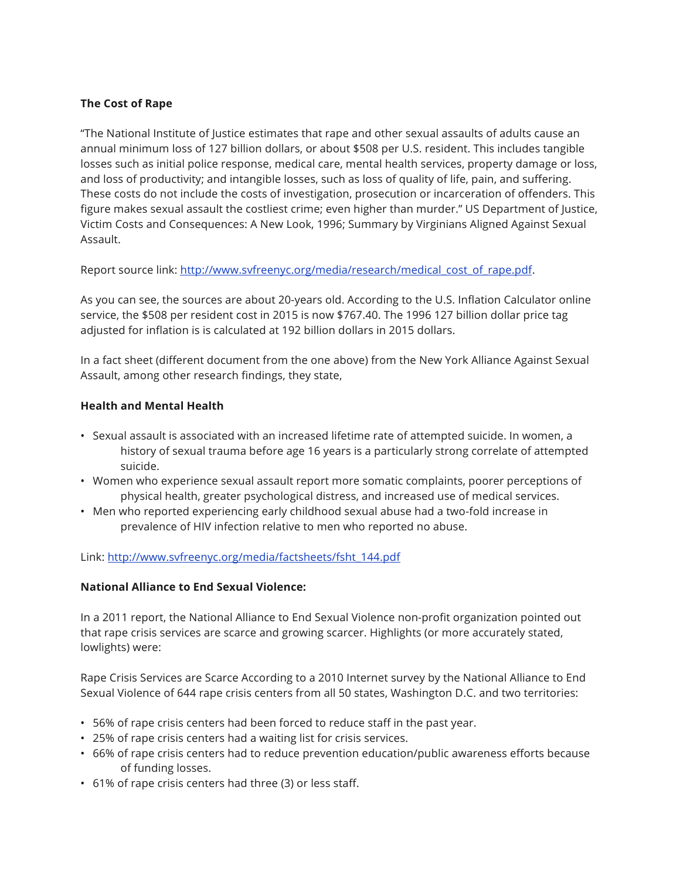# **The Cost of Rape**

"The National Institute of Justice estimates that rape and other sexual assaults of adults cause an annual minimum loss of 127 billion dollars, or about \$508 per U.S. resident. This includes tangible losses such as initial police response, medical care, mental health services, property damage or loss, and loss of productivity; and intangible losses, such as loss of quality of life, pain, and suffering. These costs do not include the costs of investigation, prosecution or incarceration of offenders. This figure makes sexual assault the costliest crime; even higher than murder." US Department of Justice, Victim Costs and Consequences: A New Look, 1996; Summary by Virginians Aligned Against Sexual Assault.

Report source link: http://www.svfreenyc.org/media/research/medical\_cost\_of\_rape.pdf.

As you can see, the sources are about 20-years old. According to the U.S. Inflation Calculator online service, the \$508 per resident cost in 2015 is now \$767.40. The 1996 127 billion dollar price tag adjusted for inflation is is calculated at 192 billion dollars in 2015 dollars.

In a fact sheet (different document from the one above) from the New York Alliance Against Sexual Assault, among other research findings, they state,

# **Health and Mental Health**

- Sexual assault is associated with an increased lifetime rate of attempted suicide. In women, a history of sexual trauma before age 16 years is a particularly strong correlate of attempted suicide.
- Women who experience sexual assault report more somatic complaints, poorer perceptions of physical health, greater psychological distress, and increased use of medical services.
- Men who reported experiencing early childhood sexual abuse had a two-fold increase in prevalence of HIV infection relative to men who reported no abuse.

Link: http://www.svfreenyc.org/media/factsheets/fsht\_144.pdf

# **National Alliance to End Sexual Violence:**

In a 2011 report, the National Alliance to End Sexual Violence non-profit organization pointed out that rape crisis services are scarce and growing scarcer. Highlights (or more accurately stated, lowlights) were:

Rape Crisis Services are Scarce According to a 2010 Internet survey by the National Alliance to End Sexual Violence of 644 rape crisis centers from all 50 states, Washington D.C. and two territories:

- 56% of rape crisis centers had been forced to reduce staff in the past year.
- 25% of rape crisis centers had a waiting list for crisis services.
- 66% of rape crisis centers had to reduce prevention education/public awareness efforts because of funding losses.
- 61% of rape crisis centers had three (3) or less staff.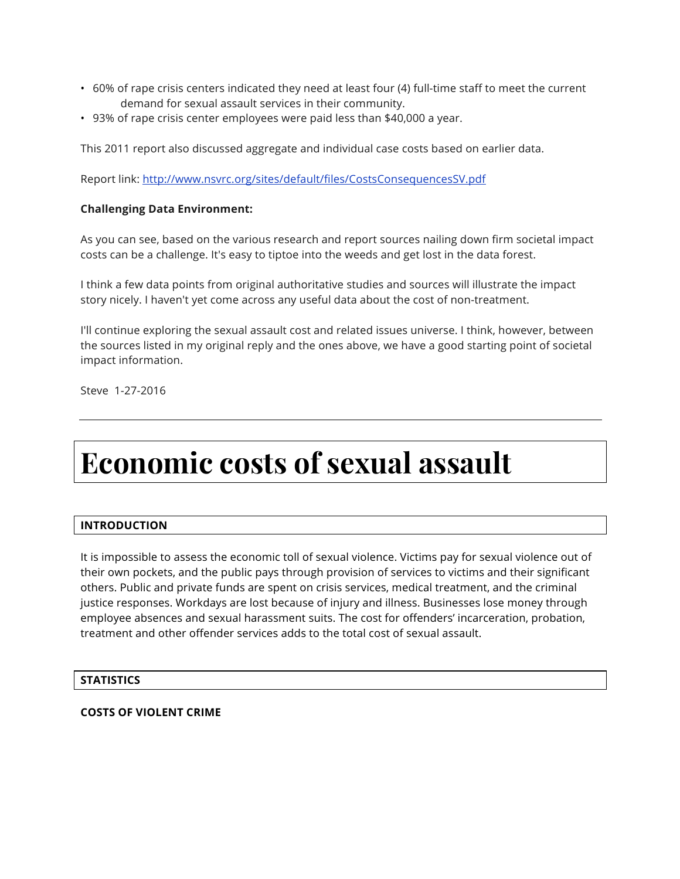- 60% of rape crisis centers indicated they need at least four (4) full-time staff to meet the current demand for sexual assault services in their community.
- 93% of rape crisis center employees were paid less than \$40,000 a year.

This 2011 report also discussed aggregate and individual case costs based on earlier data.

Report link: http://www.nsvrc.org/sites/default/files/CostsConsequencesSV.pdf

## **Challenging Data Environment:**

As you can see, based on the various research and report sources nailing down firm societal impact costs can be a challenge. It's easy to tiptoe into the weeds and get lost in the data forest.

I think a few data points from original authoritative studies and sources will illustrate the impact story nicely. I haven't yet come across any useful data about the cost of non-treatment.

I'll continue exploring the sexual assault cost and related issues universe. I think, however, between the sources listed in my original reply and the ones above, we have a good starting point of societal impact information.

Steve 1-27-2016

# **Economic costs of sexual assault**

# **INTRODUCTION**

It is impossible to assess the economic toll of sexual violence. Victims pay for sexual violence out of their own pockets, and the public pays through provision of services to victims and their significant others. Public and private funds are spent on crisis services, medical treatment, and the criminal justice responses. Workdays are lost because of injury and illness. Businesses lose money through employee absences and sexual harassment suits. The cost for offenders' incarceration, probation, treatment and other offender services adds to the total cost of sexual assault.

#### **STATISTICS**

#### **COSTS OF VIOLENT CRIME**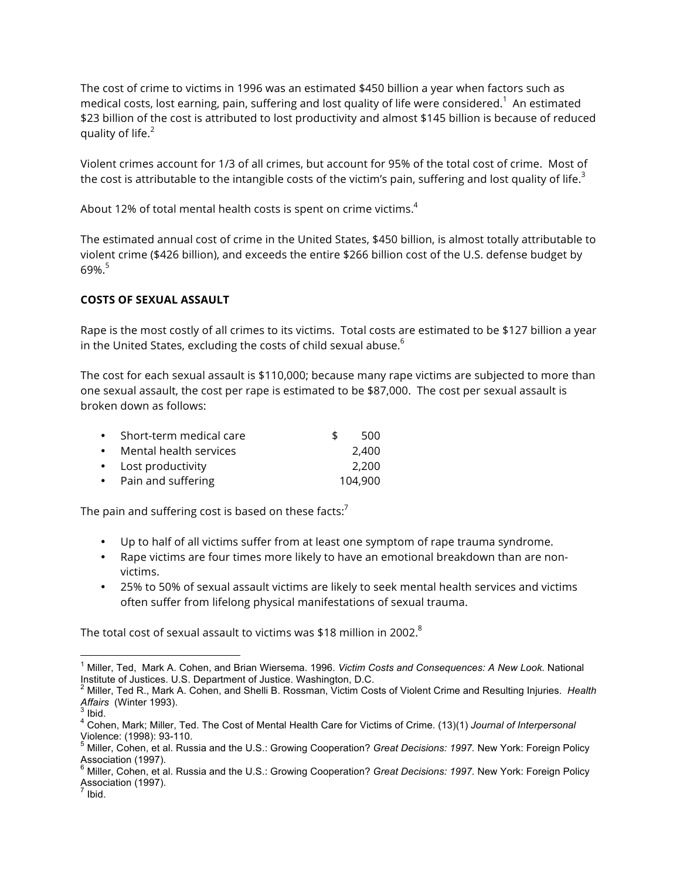The cost of crime to victims in 1996 was an estimated \$450 billion a year when factors such as medical costs, lost earning, pain, suffering and lost quality of life were considered. $^1\,$  An estimated \$23 billion of the cost is attributed to lost productivity and almost \$145 billion is because of reduced quality of life. $2$ 

Violent crimes account for 1/3 of all crimes, but account for 95% of the total cost of crime. Most of the cost is attributable to the intangible costs of the victim's pain, suffering and lost quality of life.<sup>3</sup>

About 12% of total mental health costs is spent on crime victims.<sup>4</sup>

The estimated annual cost of crime in the United States, \$450 billion, is almost totally attributable to violent crime (\$426 billion), and exceeds the entire \$266 billion cost of the U.S. defense budget by 69%.<sup>5</sup>

### **COSTS OF SEXUAL ASSAULT**

Rape is the most costly of all crimes to its victims. Total costs are estimated to be \$127 billion a year in the United States, excluding the costs of child sexual abuse. $6$ 

The cost for each sexual assault is \$110,000; because many rape victims are subjected to more than one sexual assault, the cost per rape is estimated to be \$87,000. The cost per sexual assault is broken down as follows:

| • Short-term medical care | ፍ | 500     |
|---------------------------|---|---------|
| • Mental health services  |   | 2.400   |
| • Lost productivity       |   | 2,200   |
| • Pain and suffering      |   | 104,900 |

The pain and suffering cost is based on these facts: $<sup>7</sup>$ </sup>

- Up to half of all victims suffer from at least one symptom of rape trauma syndrome.
- Rape victims are four times more likely to have an emotional breakdown than are nonvictims.
- 25% to 50% of sexual assault victims are likely to seek mental health services and victims often suffer from lifelong physical manifestations of sexual trauma.

The total cost of sexual assault to victims was \$18 million in 2002. $8$ 

 <sup>1</sup> Miller, Ted, Mark A. Cohen, and Brian Wiersema. 1996. *Victim Costs and Consequences: A New Look.* National Institute of Justices. U.S. Department of Justice. Washington, D.C.

<sup>&</sup>lt;sup>2</sup> Miller, Ted R., Mark A. Cohen, and Shelli B. Rossman, Victim Costs of Violent Crime and Resulting Injuries. *Health Affairs* (Winter 1993).

*Affairs* (Winter 1993). <sup>3</sup> Ibid. <sup>4</sup> Cohen, Mark; Miller, Ted. The Cost of Mental Health Care for Victims of Crime. (13)(1) *Journal of Interpersonal* 

Violence: (1998): 93-110.<br><sup>5</sup> Miller, Cohen, et al. Russia and the U.S.: Growing Cooperation? *Great Decisions: 1997.* New York: Foreign Policy Association (1997).

<sup>6</sup> Miller, Cohen, et al. Russia and the U.S.: Growing Cooperation? *Great Decisions: 1997.* New York: Foreign Policy Association (1997).

 $<sup>7</sup>$  Ibid.</sup>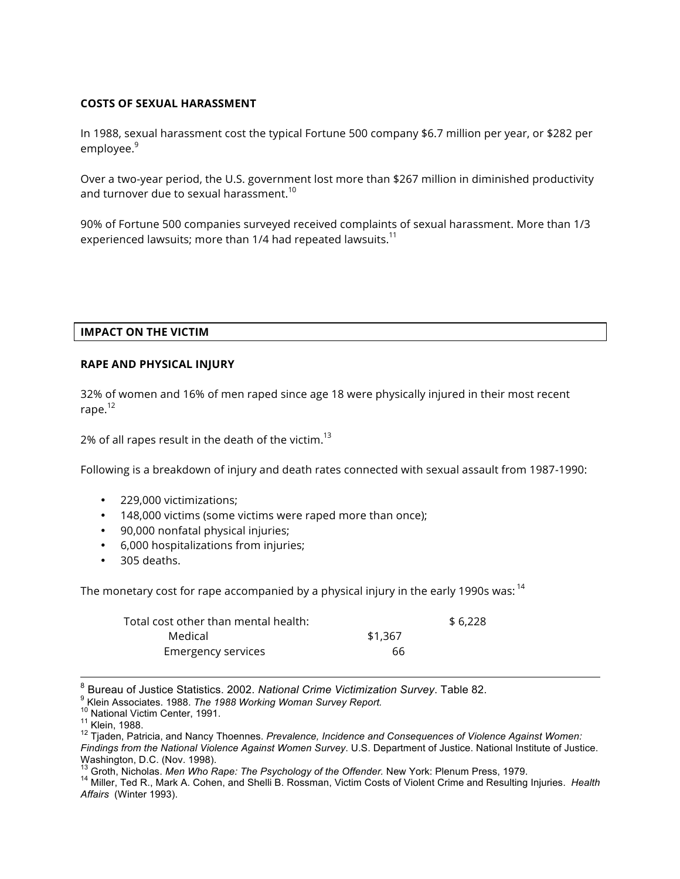#### **COSTS OF SEXUAL HARASSMENT**

In 1988, sexual harassment cost the typical Fortune 500 company \$6.7 million per year, or \$282 per employee.<sup>9</sup>

Over a two-year period, the U.S. government lost more than \$267 million in diminished productivity and turnover due to sexual harassment.<sup>10</sup>

90% of Fortune 500 companies surveyed received complaints of sexual harassment. More than 1/3 experienced lawsuits; more than 1/4 had repeated lawsuits.<sup>11</sup>

#### **IMPACT ON THE VICTIM**

#### **RAPE AND PHYSICAL INJURY**

32% of women and 16% of men raped since age 18 were physically injured in their most recent rape.<sup>12</sup>

2% of all rapes result in the death of the victim.<sup>13</sup>

Following is a breakdown of injury and death rates connected with sexual assault from 1987-1990:

- 229,000 victimizations;
- 148,000 victims (some victims were raped more than once);
- 90,000 nonfatal physical injuries;
- 6,000 hospitalizations from injuries;
- 305 deaths.

The monetary cost for rape accompanied by a physical injury in the early 1990s was: <sup>14</sup>

| Total cost other than mental health: ' |         | \$6.228 |
|----------------------------------------|---------|---------|
| Medical                                | \$1,367 |         |
| <b>Emergency services</b>              | 66      |         |

<sup>&</sup>lt;sup>8</sup> Bureau of Justice Statistics. 2002. National Crime Victimization Survey. Table 82.<br><sup>9</sup> Klein Associates. 1988. *The 1988 Working Woman Survey Report.*<br><sup>10</sup> National Victim Center, 1991.<br><sup>11</sup> Klein, 1988.<br><sup>12</sup> Tjaden,

*Findings from the National Violence Against Women Survey*. U.S. Department of Justice. National Institute of Justice. Washington, D.C. (Nov. 1998).<br><sup>13</sup> Groth, Nicholas. *Men Who Rape: The Psychology of the Offender.* New York: Plenum Press, 1979.

<sup>&</sup>lt;sup>14</sup> Miller, Ted R., Mark A. Cohen, and Shelli B. Rossman, Victim Costs of Violent Crime and Resulting Injuries. Health *Affairs* (Winter 1993).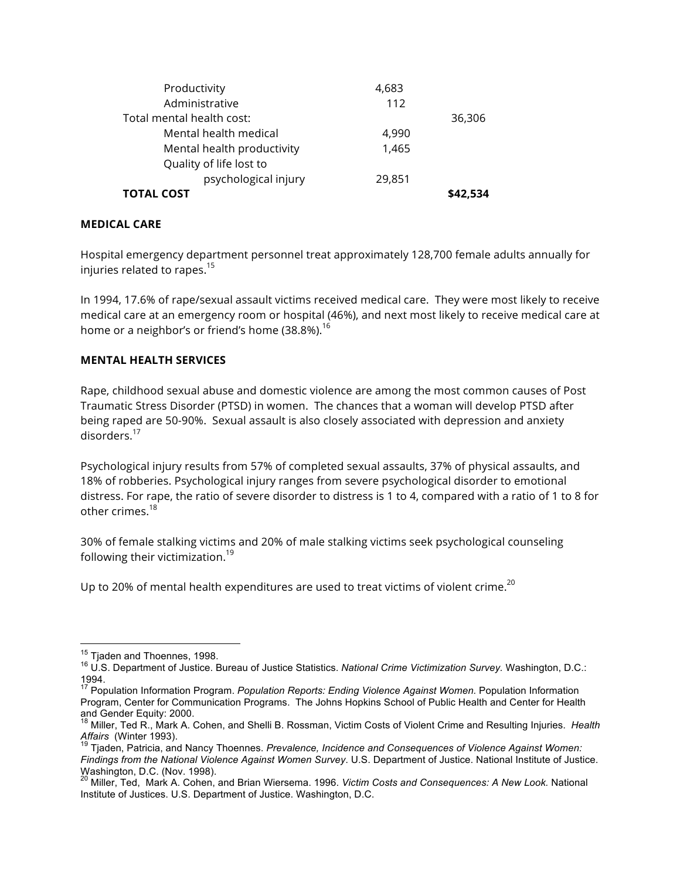| Productivity               | 4,683  |          |
|----------------------------|--------|----------|
| Administrative             | 112    |          |
| Total mental health cost:  |        | 36,306   |
| Mental health medical      | 4,990  |          |
| Mental health productivity | 1,465  |          |
| Quality of life lost to    |        |          |
| psychological injury       | 29,851 |          |
| <b>TOTAL COST</b>          |        | \$42.534 |

#### **MEDICAL CARE**

Hospital emergency department personnel treat approximately 128,700 female adults annually for injuries related to rapes.<sup>15</sup>

In 1994, 17.6% of rape/sexual assault victims received medical care. They were most likely to receive medical care at an emergency room or hospital (46%), and next most likely to receive medical care at home or a neighbor's or friend's home  $(38.8\%)$ .<sup>16</sup>

# **MENTAL HEALTH SERVICES**

Rape, childhood sexual abuse and domestic violence are among the most common causes of Post Traumatic Stress Disorder (PTSD) in women. The chances that a woman will develop PTSD after being raped are 50-90%. Sexual assault is also closely associated with depression and anxiety disorders.<sup>17</sup>

Psychological injury results from 57% of completed sexual assaults, 37% of physical assaults, and 18% of robberies. Psychological injury ranges from severe psychological disorder to emotional distress. For rape, the ratio of severe disorder to distress is 1 to 4, compared with a ratio of 1 to 8 for other crimes  $18$ 

30% of female stalking victims and 20% of male stalking victims seek psychological counseling following their victimization.<sup>19</sup>

Up to 20% of mental health expenditures are used to treat victims of violent crime.<sup>20</sup>

<sup>&</sup>lt;sup>15</sup> Tjaden and Thoennes, 1998.<br><sup>16</sup> U.S. Department of Justice. Bureau of Justice Statistics. *National Crime Victimization Survey.* Washington, D.C.: 1994.

<sup>&</sup>lt;sup>17</sup> Population Information Program. *Population Reports: Ending Violence Against Women.* Population Information Program, Center for Communication Programs. The Johns Hopkins School of Public Health and Center for Health and Gender Equity: 2000.

<sup>18</sup> Miller, Ted R., Mark A. Cohen, and Shelli B. Rossman, Victim Costs of Violent Crime and Resulting Injuries. *Health Affairs* (Winter 1993).<br><sup>19</sup> Tjaden, Patricia, and Nancy Thoennes. *Prevalence, Incidence and Consequences of Violence Against Women:* 

*Findings from the National Violence Against Women Survey*. U.S. Department of Justice. National Institute of Justice. Washington, D.C. (Nov. 1998).

<sup>20</sup> Miller, Ted, Mark A. Cohen, and Brian Wiersema. 1996. *Victim Costs and Consequences: A New Look.* National Institute of Justices. U.S. Department of Justice. Washington, D.C.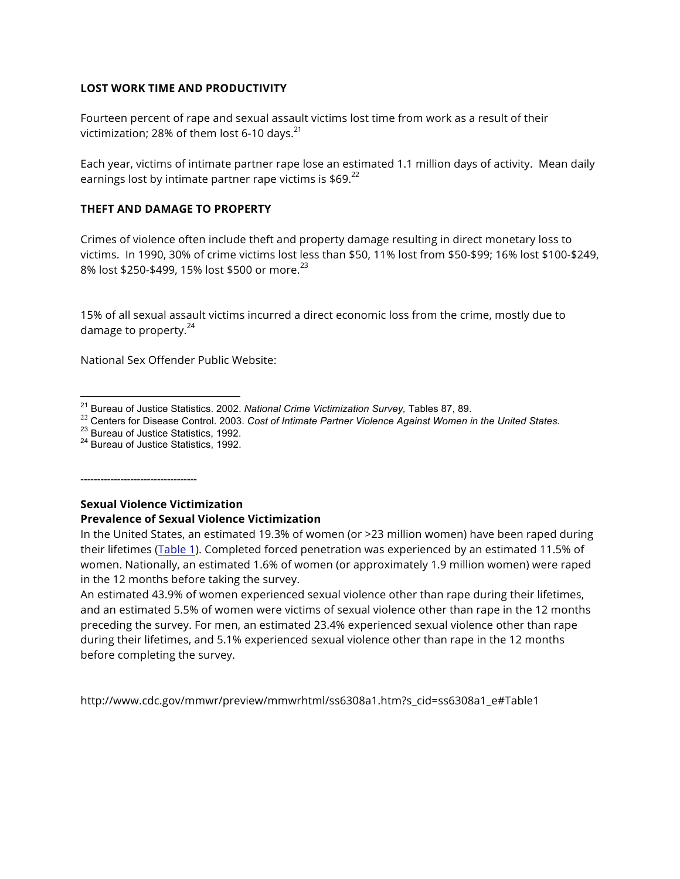#### **LOST WORK TIME AND PRODUCTIVITY**

Fourteen percent of rape and sexual assault victims lost time from work as a result of their victimization; 28% of them lost 6-10 days. $^{21}$ 

Each year, victims of intimate partner rape lose an estimated 1.1 million days of activity. Mean daily earnings lost by intimate partner rape victims is  $$69.<sup>22</sup>$ 

#### **THEFT AND DAMAGE TO PROPERTY**

Crimes of violence often include theft and property damage resulting in direct monetary loss to victims. In 1990, 30% of crime victims lost less than \$50, 11% lost from \$50-\$99; 16% lost \$100-\$249, 8% lost \$250-\$499, 15% lost \$500 or more.<sup>23</sup>

15% of all sexual assault victims incurred a direct economic loss from the crime, mostly due to damage to property. $24$ 

National Sex Offender Public Website:

-----------------------------------

## **Sexual Violence Victimization Prevalence of Sexual Violence Victimization**

In the United States, an estimated 19.3% of women (or >23 million women) have been raped during their lifetimes (Table 1). Completed forced penetration was experienced by an estimated 11.5% of women. Nationally, an estimated 1.6% of women (or approximately 1.9 million women) were raped in the 12 months before taking the survey.

An estimated 43.9% of women experienced sexual violence other than rape during their lifetimes, and an estimated 5.5% of women were victims of sexual violence other than rape in the 12 months preceding the survey. For men, an estimated 23.4% experienced sexual violence other than rape during their lifetimes, and 5.1% experienced sexual violence other than rape in the 12 months before completing the survey.

http://www.cdc.gov/mmwr/preview/mmwrhtml/ss6308a1.htm?s\_cid=ss6308a1\_e#Table1

<sup>&</sup>lt;sup>21</sup> Bureau of Justice Statistics. 2002. National Crime Victimization Survey, Tables 87, 89.<br><sup>22</sup> Centers for Disease Control. 2003. Cost of Intimate Partner Violence Against Women in the United States.<br><sup>23</sup> Bureau of Jus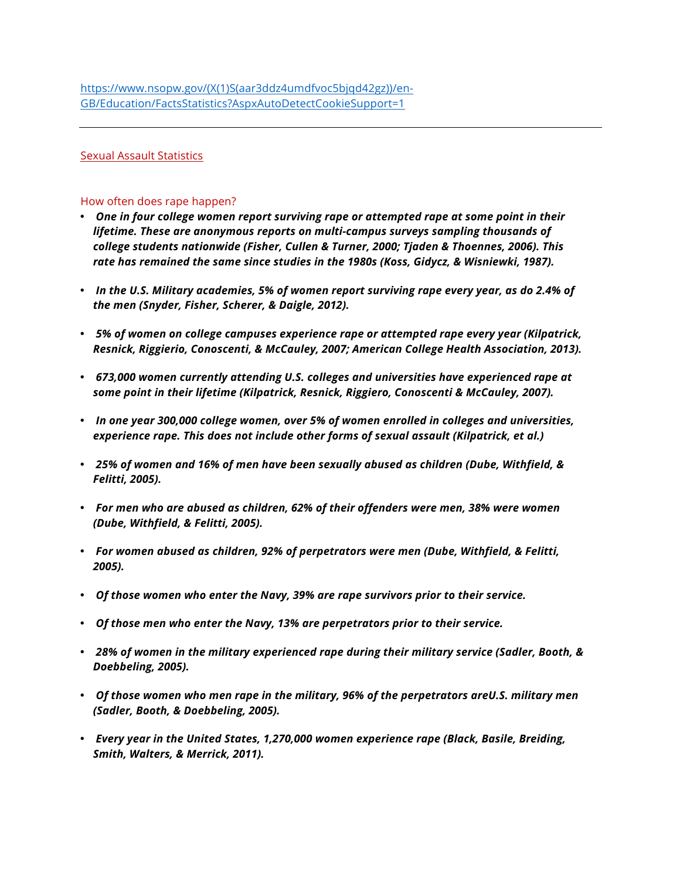#### Sexual Assault Statistics

#### How often does rape happen?

- *One in four college women report surviving rape or attempted rape at some point in their lifetime. These are anonymous reports on multi-campus surveys sampling thousands of college students nationwide (Fisher, Cullen & Turner, 2000; Tjaden & Thoennes, 2006). This rate has remained the same since studies in the 1980s (Koss, Gidycz, & Wisniewki, 1987).*
- *In the U.S. Military academies, 5% of women report surviving rape every year, as do 2.4% of the men (Snyder, Fisher, Scherer, & Daigle, 2012).*
- *5% of women on college campuses experience rape or attempted rape every year (Kilpatrick, Resnick, Riggierio, Conoscenti, & McCauley, 2007; American College Health Association, 2013).*
- *673,000 women currently attending U.S. colleges and universities have experienced rape at some point in their lifetime (Kilpatrick, Resnick, Riggiero, Conoscenti & McCauley, 2007).*
- *In one year 300,000 college women, over 5% of women enrolled in colleges and universities, experience rape. This does not include other forms of sexual assault (Kilpatrick, et al.)*
- *25% of women and 16% of men have been sexually abused as children (Dube, Withfield, & Felitti, 2005).*
- *For men who are abused as children, 62% of their offenders were men, 38% were women (Dube, Withfield, & Felitti, 2005).*
- *For women abused as children, 92% of perpetrators were men (Dube, Withfield, & Felitti, 2005).*
- *Of those women who enter the Navy, 39% are rape survivors prior to their service.*
- *Of those men who enter the Navy, 13% are perpetrators prior to their service.*
- *28% of women in the military experienced rape during their military service (Sadler, Booth, & Doebbeling, 2005).*
- *Of those women who men rape in the military, 96% of the perpetrators areU.S. military men (Sadler, Booth, & Doebbeling, 2005).*
- *Every year in the United States, 1,270,000 women experience rape (Black, Basile, Breiding, Smith, Walters, & Merrick, 2011).*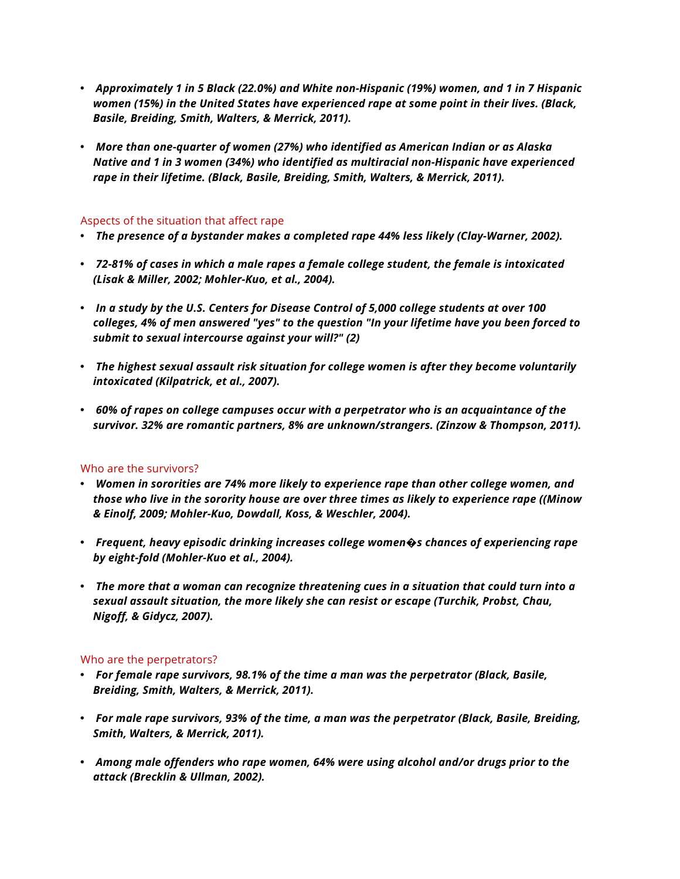- *Approximately 1 in 5 Black (22.0%) and White non-Hispanic (19%) women, and 1 in 7 Hispanic women (15%) in the United States have experienced rape at some point in their lives. (Black, Basile, Breiding, Smith, Walters, & Merrick, 2011).*
- *More than one-quarter of women (27%) who identified as American Indian or as Alaska Native and 1 in 3 women (34%) who identified as multiracial non-Hispanic have experienced rape in their lifetime. (Black, Basile, Breiding, Smith, Walters, & Merrick, 2011).*

#### Aspects of the situation that affect rape

- *The presence of a bystander makes a completed rape 44% less likely (Clay-Warner, 2002).*
- *72-81% of cases in which a male rapes a female college student, the female is intoxicated (Lisak & Miller, 2002; Mohler-Kuo, et al., 2004).*
- *In a study by the U.S. Centers for Disease Control of 5,000 college students at over 100 colleges, 4% of men answered "yes" to the question "In your lifetime have you been forced to submit to sexual intercourse against your will?" (2)*
- *The highest sexual assault risk situation for college women is after they become voluntarily intoxicated (Kilpatrick, et al., 2007).*
- *60% of rapes on college campuses occur with a perpetrator who is an acquaintance of the survivor. 32% are romantic partners, 8% are unknown/strangers. (Zinzow & Thompson, 2011).*

#### Who are the survivors?

- *Women in sororities are 74% more likely to experience rape than other college women, and those who live in the sorority house are over three times as likely to experience rape ((Minow & Einolf, 2009; Mohler-Kuo, Dowdall, Koss, & Weschler, 2004).*
- *Frequent, heavy episodic drinking increases college women�s chances of experiencing rape by eight-fold (Mohler-Kuo et al., 2004).*
- *The more that a woman can recognize threatening cues in a situation that could turn into a sexual assault situation, the more likely she can resist or escape (Turchik, Probst, Chau, Nigoff, & Gidycz, 2007).*

#### Who are the perpetrators?

- *For female rape survivors, 98.1% of the time a man was the perpetrator (Black, Basile, Breiding, Smith, Walters, & Merrick, 2011).*
- *For male rape survivors, 93% of the time, a man was the perpetrator (Black, Basile, Breiding, Smith, Walters, & Merrick, 2011).*
- *Among male offenders who rape women, 64% were using alcohol and/or drugs prior to the attack (Brecklin & Ullman, 2002).*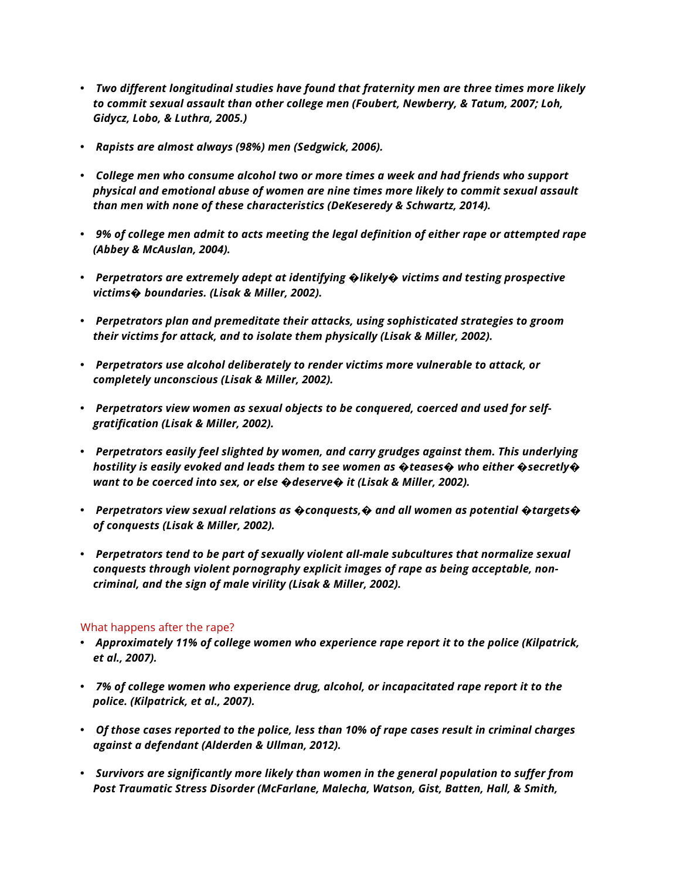- *Two different longitudinal studies have found that fraternity men are three times more likely to commit sexual assault than other college men (Foubert, Newberry, & Tatum, 2007; Loh, Gidycz, Lobo, & Luthra, 2005.)*
- *Rapists are almost always (98%) men (Sedgwick, 2006).*
- *College men who consume alcohol two or more times a week and had friends who support physical and emotional abuse of women are nine times more likely to commit sexual assault than men with none of these characteristics (DeKeseredy & Schwartz, 2014).*
- *9% of college men admit to acts meeting the legal definition of either rape or attempted rape (Abbey & McAuslan, 2004).*
- *Perpetrators are extremely adept at identifying �likely� victims and testing prospective victims� boundaries. (Lisak & Miller, 2002).*
- *Perpetrators plan and premeditate their attacks, using sophisticated strategies to groom their victims for attack, and to isolate them physically (Lisak & Miller, 2002).*
- *Perpetrators use alcohol deliberately to render victims more vulnerable to attack, or completely unconscious (Lisak & Miller, 2002).*
- *Perpetrators view women as sexual objects to be conquered, coerced and used for selfgratification (Lisak & Miller, 2002).*
- *Perpetrators easily feel slighted by women, and carry grudges against them. This underlying hostility is easily evoked and leads them to see women as �teases� who either �secretly� want to be coerced into sex, or else �deserve� it (Lisak & Miller, 2002).*
- *Perpetrators view sexual relations as �conquests,� and all women as potential �targets� of conquests (Lisak & Miller, 2002).*
- *Perpetrators tend to be part of sexually violent all-male subcultures that normalize sexual conquests through violent pornography explicit images of rape as being acceptable, noncriminal, and the sign of male virility (Lisak & Miller, 2002).*

#### What happens after the rape?

- *Approximately 11% of college women who experience rape report it to the police (Kilpatrick, et al., 2007).*
- *7% of college women who experience drug, alcohol, or incapacitated rape report it to the police. (Kilpatrick, et al., 2007).*
- *Of those cases reported to the police, less than 10% of rape cases result in criminal charges against a defendant (Alderden & Ullman, 2012).*
- *Survivors are significantly more likely than women in the general population to suffer from Post Traumatic Stress Disorder (McFarlane, Malecha, Watson, Gist, Batten, Hall, & Smith,*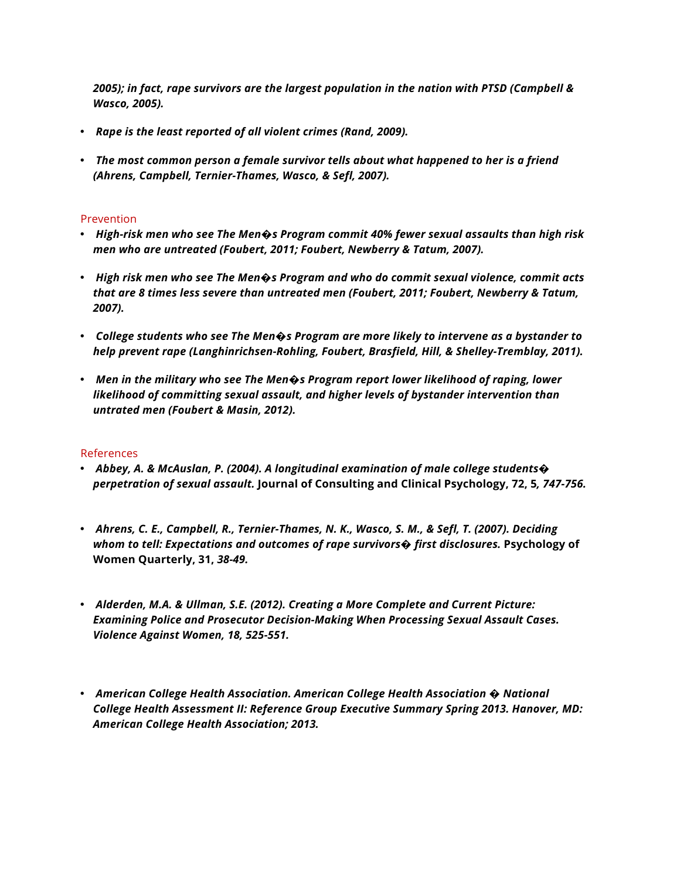*2005); in fact, rape survivors are the largest population in the nation with PTSD (Campbell & Wasco, 2005).*

- *Rape is the least reported of all violent crimes (Rand, 2009).*
- *The most common person a female survivor tells about what happened to her is a friend (Ahrens, Campbell, Ternier-Thames, Wasco, & Sefl, 2007).*

#### Prevention

- *High-risk men who see The Men�s Program commit 40% fewer sexual assaults than high risk men who are untreated (Foubert, 2011; Foubert, Newberry & Tatum, 2007).*
- *High risk men who see The Men�s Program and who do commit sexual violence, commit acts that are 8 times less severe than untreated men (Foubert, 2011; Foubert, Newberry & Tatum, 2007).*
- *College students who see The Men�s Program are more likely to intervene as a bystander to help prevent rape (Langhinrichsen-Rohling, Foubert, Brasfield, Hill, & Shelley-Tremblay, 2011).*
- *Men in the military who see The Men�s Program report lower likelihood of raping, lower likelihood of committing sexual assault, and higher levels of bystander intervention than untrated men (Foubert & Masin, 2012).*

#### References

- *Abbey, A. & McAuslan, P. (2004). A longitudinal examination of male college students� perpetration of sexual assault.* **Journal of Consulting and Clinical Psychology, 72, 5***, 747-756.*
- *Ahrens, C. E., Campbell, R., Ternier-Thames, N. K., Wasco, S. M., & Sefl, T. (2007). Deciding whom to tell: Expectations and outcomes of rape survivors� first disclosures.* **Psychology of Women Quarterly, 31,** *38-49.*
- *Alderden, M.A. & Ullman, S.E. (2012). Creating a More Complete and Current Picture: Examining Police and Prosecutor Decision-Making When Processing Sexual Assault Cases. Violence Against Women, 18, 525-551.*
- *American College Health Association. American College Health Association � National College Health Assessment II: Reference Group Executive Summary Spring 2013. Hanover, MD: American College Health Association; 2013.*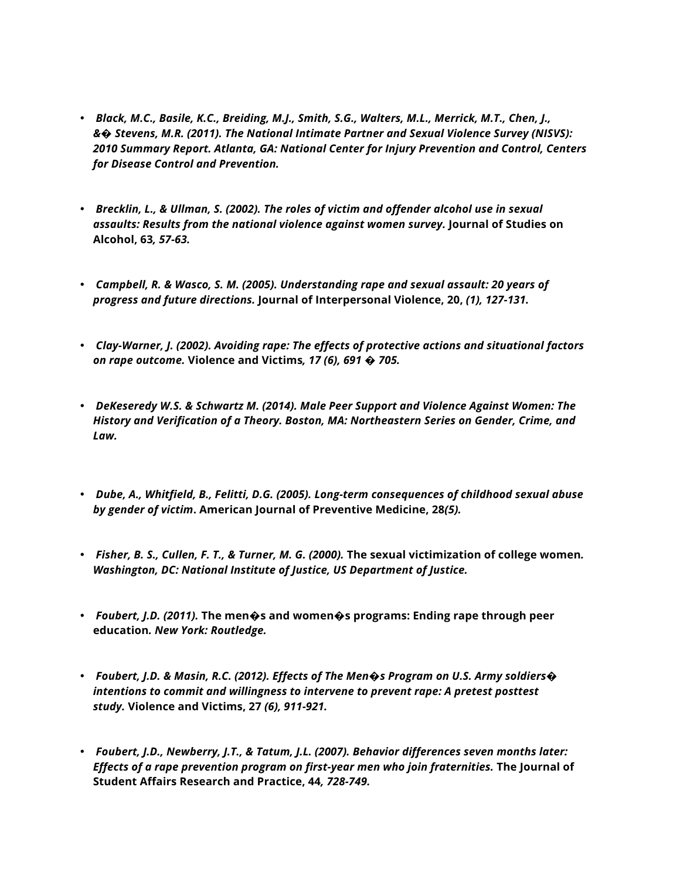- *Black, M.C., Basile, K.C., Breiding, M.J., Smith, S.G., Walters, M.L., Merrick, M.T., Chen, J., &� Stevens, M.R. (2011). The National Intimate Partner and Sexual Violence Survey (NISVS): 2010 Summary Report. Atlanta, GA: National Center for Injury Prevention and Control, Centers for Disease Control and Prevention.*
- *Brecklin, L., & Ullman, S. (2002). The roles of victim and offender alcohol use in sexual assaults: Results from the national violence against women survey.* **Journal of Studies on Alcohol, 63***, 57-63.*
- *Campbell, R. & Wasco, S. M. (2005). Understanding rape and sexual assault: 20 years of progress and future directions.* **Journal of Interpersonal Violence, 20,** *(1), 127-131.*
- *Clay-Warner, J. (2002). Avoiding rape: The effects of protective actions and situational factors on rape outcome.* **Violence and Victims***, 17 (6), 691 � 705.*
- *DeKeseredy W.S. & Schwartz M. (2014). Male Peer Support and Violence Against Women: The History and Verification of a Theory. Boston, MA: Northeastern Series on Gender, Crime, and Law.*
- *Dube, A., Whitfield, B., Felitti, D.G. (2005). Long-term consequences of childhood sexual abuse by gender of victim***. American Journal of Preventive Medicine, 28***(5).*
- *Fisher, B. S., Cullen, F. T., & Turner, M. G. (2000).* **The sexual victimization of college women***. Washington, DC: National Institute of Justice, US Department of Justice.*
- *Foubert, J.D. (2011).* **The men�s and women�s programs: Ending rape through peer education***. New York: Routledge.*
- *Foubert, J.D. & Masin, R.C. (2012). Effects of The Men�s Program on U.S. Army soldiers� intentions to commit and willingness to intervene to prevent rape: A pretest posttest study.* **Violence and Victims, 27** *(6), 911-921.*
- *Foubert, J.D., Newberry, J.T., & Tatum, J.L. (2007). Behavior differences seven months later: Effects of a rape prevention program on first-year men who join fraternities.* **The Journal of Student Affairs Research and Practice, 44***, 728-749.*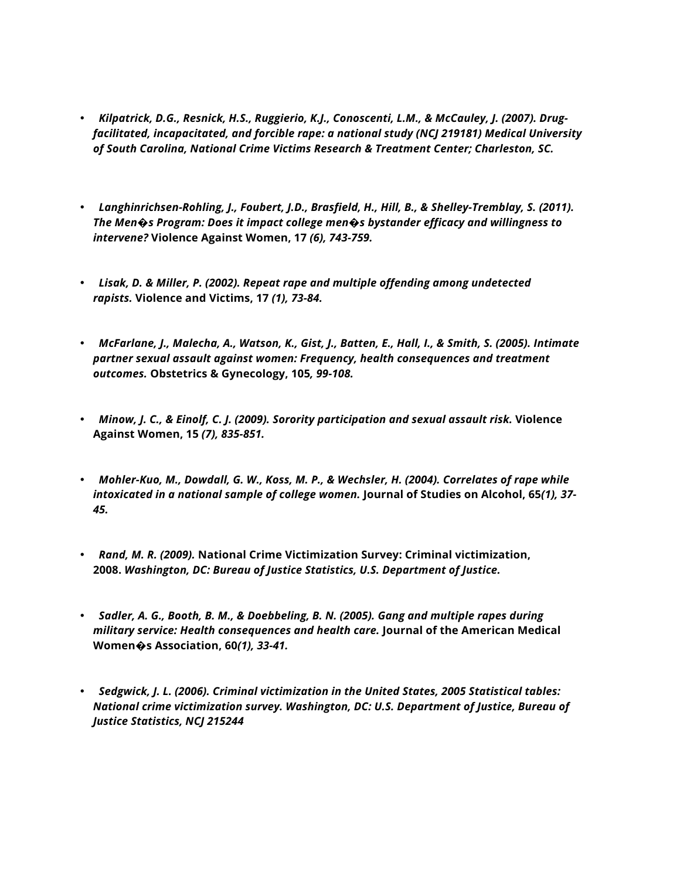- *Kilpatrick, D.G., Resnick, H.S., Ruggierio, K.J., Conoscenti, L.M., & McCauley, J. (2007). Drugfacilitated, incapacitated, and forcible rape: a national study (NCJ 219181) Medical University of South Carolina, National Crime Victims Research & Treatment Center; Charleston, SC.*
- *Langhinrichsen-Rohling, J., Foubert, J.D., Brasfield, H., Hill, B., & Shelley-Tremblay, S. (2011). The Men�s Program: Does it impact college men�s bystander efficacy and willingness to intervene?* **Violence Against Women, 17** *(6), 743-759.*
- *Lisak, D. & Miller, P. (2002). Repeat rape and multiple offending among undetected rapists.* **Violence and Victims, 17** *(1), 73-84.*
- *McFarlane, J., Malecha, A., Watson, K., Gist, J., Batten, E., Hall, I., & Smith, S. (2005). Intimate partner sexual assault against women: Frequency, health consequences and treatment outcomes.* **Obstetrics & Gynecology, 105***, 99-108.*
- *Minow, J. C., & Einolf, C. J. (2009). Sorority participation and sexual assault risk.* **Violence Against Women, 15** *(7), 835-851.*
- *Mohler-Kuo, M., Dowdall, G. W., Koss, M. P., & Wechsler, H. (2004). Correlates of rape while intoxicated in a national sample of college women.* **Journal of Studies on Alcohol, 65***(1), 37- 45.*
- *Rand, M. R. (2009).* **National Crime Victimization Survey: Criminal victimization, 2008.** *Washington, DC: Bureau of Justice Statistics, U.S. Department of Justice.*
- *Sadler, A. G., Booth, B. M., & Doebbeling, B. N. (2005). Gang and multiple rapes during military service: Health consequences and health care.* **Journal of the American Medical Women�s Association, 60***(1), 33-41.*
- *Sedgwick, J. L. (2006). Criminal victimization in the United States, 2005 Statistical tables: National crime victimization survey. Washington, DC: U.S. Department of Justice, Bureau of Justice Statistics, NCJ 215244*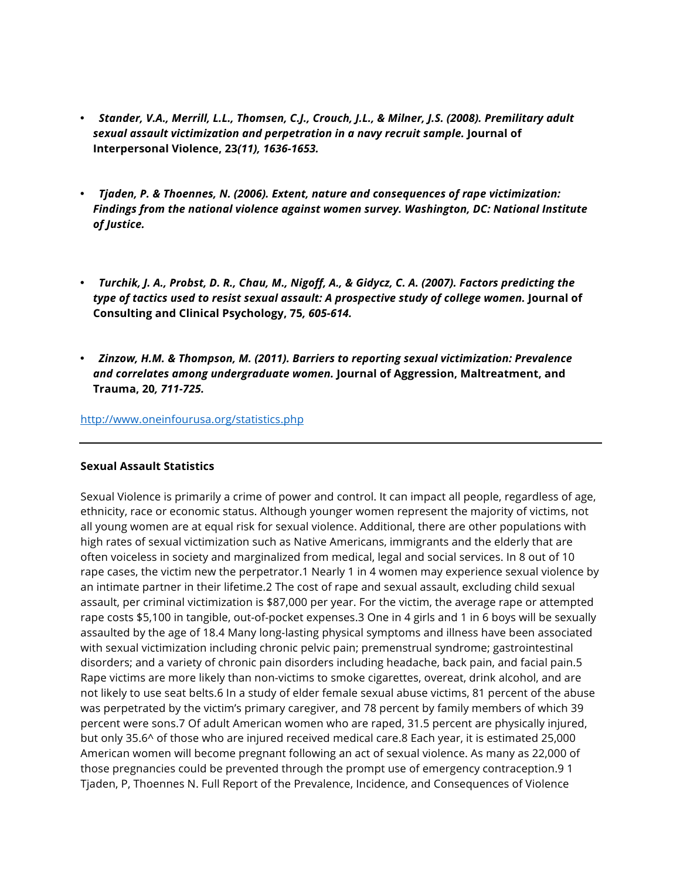- *Stander, V.A., Merrill, L.L., Thomsen, C.J., Crouch, J.L., & Milner, J.S. (2008). Premilitary adult sexual assault victimization and perpetration in a navy recruit sample.* **Journal of Interpersonal Violence, 23***(11), 1636-1653.*
- *Tjaden, P. & Thoennes, N. (2006). Extent, nature and consequences of rape victimization: Findings from the national violence against women survey. Washington, DC: National Institute of Justice.*
- *Turchik, J. A., Probst, D. R., Chau, M., Nigoff, A., & Gidycz, C. A. (2007). Factors predicting the type of tactics used to resist sexual assault: A prospective study of college women.* **Journal of Consulting and Clinical Psychology, 75***, 605-614.*
- *Zinzow, H.M. & Thompson, M. (2011). Barriers to reporting sexual victimization: Prevalence and correlates among undergraduate women.* **Journal of Aggression, Maltreatment, and Trauma, 20***, 711-725.*

#### http://www.oneinfourusa.org/statistics.php

#### **Sexual Assault Statistics**

Sexual Violence is primarily a crime of power and control. It can impact all people, regardless of age, ethnicity, race or economic status. Although younger women represent the majority of victims, not all young women are at equal risk for sexual violence. Additional, there are other populations with high rates of sexual victimization such as Native Americans, immigrants and the elderly that are often voiceless in society and marginalized from medical, legal and social services. In 8 out of 10 rape cases, the victim new the perpetrator.1 Nearly 1 in 4 women may experience sexual violence by an intimate partner in their lifetime.2 The cost of rape and sexual assault, excluding child sexual assault, per criminal victimization is \$87,000 per year. For the victim, the average rape or attempted rape costs \$5,100 in tangible, out-of-pocket expenses.3 One in 4 girls and 1 in 6 boys will be sexually assaulted by the age of 18.4 Many long-lasting physical symptoms and illness have been associated with sexual victimization including chronic pelvic pain; premenstrual syndrome; gastrointestinal disorders; and a variety of chronic pain disorders including headache, back pain, and facial pain.5 Rape victims are more likely than non-victims to smoke cigarettes, overeat, drink alcohol, and are not likely to use seat belts.6 In a study of elder female sexual abuse victims, 81 percent of the abuse was perpetrated by the victim's primary caregiver, and 78 percent by family members of which 39 percent were sons.7 Of adult American women who are raped, 31.5 percent are physically injured, but only 35.6^ of those who are injured received medical care.8 Each year, it is estimated 25,000 American women will become pregnant following an act of sexual violence. As many as 22,000 of those pregnancies could be prevented through the prompt use of emergency contraception.9 1 Tjaden, P, Thoennes N. Full Report of the Prevalence, Incidence, and Consequences of Violence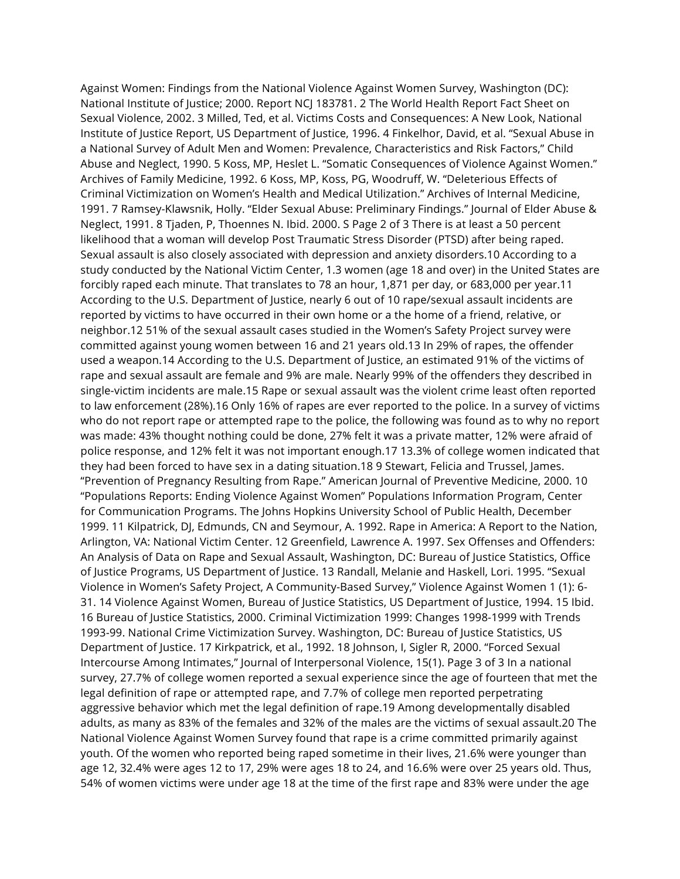Against Women: Findings from the National Violence Against Women Survey, Washington (DC): National Institute of Justice; 2000. Report NCJ 183781. 2 The World Health Report Fact Sheet on Sexual Violence, 2002. 3 Milled, Ted, et al. Victims Costs and Consequences: A New Look, National Institute of Justice Report, US Department of Justice, 1996. 4 Finkelhor, David, et al. "Sexual Abuse in a National Survey of Adult Men and Women: Prevalence, Characteristics and Risk Factors," Child Abuse and Neglect, 1990. 5 Koss, MP, Heslet L. "Somatic Consequences of Violence Against Women." Archives of Family Medicine, 1992. 6 Koss, MP, Koss, PG, Woodruff, W. "Deleterious Effects of Criminal Victimization on Women's Health and Medical Utilization." Archives of Internal Medicine, 1991. 7 Ramsey-Klawsnik, Holly. "Elder Sexual Abuse: Preliminary Findings." Journal of Elder Abuse & Neglect, 1991. 8 Tjaden, P, Thoennes N. Ibid. 2000. S Page 2 of 3 There is at least a 50 percent likelihood that a woman will develop Post Traumatic Stress Disorder (PTSD) after being raped. Sexual assault is also closely associated with depression and anxiety disorders.10 According to a study conducted by the National Victim Center, 1.3 women (age 18 and over) in the United States are forcibly raped each minute. That translates to 78 an hour, 1,871 per day, or 683,000 per year.11 According to the U.S. Department of Justice, nearly 6 out of 10 rape/sexual assault incidents are reported by victims to have occurred in their own home or a the home of a friend, relative, or neighbor.12 51% of the sexual assault cases studied in the Women's Safety Project survey were committed against young women between 16 and 21 years old.13 In 29% of rapes, the offender used a weapon.14 According to the U.S. Department of Justice, an estimated 91% of the victims of rape and sexual assault are female and 9% are male. Nearly 99% of the offenders they described in single-victim incidents are male.15 Rape or sexual assault was the violent crime least often reported to law enforcement (28%).16 Only 16% of rapes are ever reported to the police. In a survey of victims who do not report rape or attempted rape to the police, the following was found as to why no report was made: 43% thought nothing could be done, 27% felt it was a private matter, 12% were afraid of police response, and 12% felt it was not important enough.17 13.3% of college women indicated that they had been forced to have sex in a dating situation.18 9 Stewart, Felicia and Trussel, James. "Prevention of Pregnancy Resulting from Rape." American Journal of Preventive Medicine, 2000. 10 "Populations Reports: Ending Violence Against Women" Populations Information Program, Center for Communication Programs. The Johns Hopkins University School of Public Health, December 1999. 11 Kilpatrick, DJ, Edmunds, CN and Seymour, A. 1992. Rape in America: A Report to the Nation, Arlington, VA: National Victim Center. 12 Greenfield, Lawrence A. 1997. Sex Offenses and Offenders: An Analysis of Data on Rape and Sexual Assault, Washington, DC: Bureau of Justice Statistics, Office of Justice Programs, US Department of Justice. 13 Randall, Melanie and Haskell, Lori. 1995. "Sexual Violence in Women's Safety Project, A Community-Based Survey," Violence Against Women 1 (1): 6- 31. 14 Violence Against Women, Bureau of Justice Statistics, US Department of Justice, 1994. 15 Ibid. 16 Bureau of Justice Statistics, 2000. Criminal Victimization 1999: Changes 1998-1999 with Trends 1993-99. National Crime Victimization Survey. Washington, DC: Bureau of Justice Statistics, US Department of Justice. 17 Kirkpatrick, et al., 1992. 18 Johnson, I, Sigler R, 2000. "Forced Sexual Intercourse Among Intimates," Journal of Interpersonal Violence, 15(1). Page 3 of 3 In a national survey, 27.7% of college women reported a sexual experience since the age of fourteen that met the legal definition of rape or attempted rape, and 7.7% of college men reported perpetrating aggressive behavior which met the legal definition of rape.19 Among developmentally disabled adults, as many as 83% of the females and 32% of the males are the victims of sexual assault.20 The National Violence Against Women Survey found that rape is a crime committed primarily against youth. Of the women who reported being raped sometime in their lives, 21.6% were younger than age 12, 32.4% were ages 12 to 17, 29% were ages 18 to 24, and 16.6% were over 25 years old. Thus, 54% of women victims were under age 18 at the time of the first rape and 83% were under the age